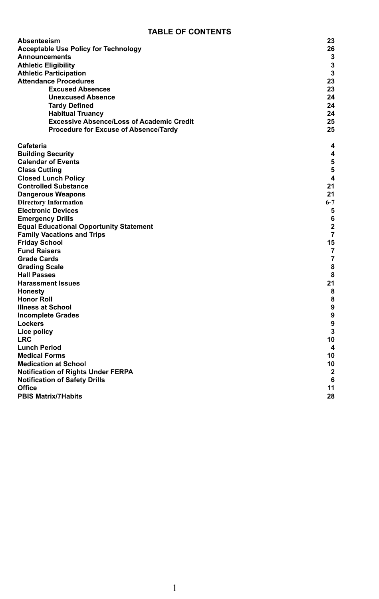#### **TABLE OF CONTENTS**

| Absenteeism                                      | 23             |  |  |
|--------------------------------------------------|----------------|--|--|
| <b>Acceptable Use Policy for Technology</b>      |                |  |  |
| <b>Announcements</b>                             | 3              |  |  |
| <b>Athletic Eligibility</b>                      | 3              |  |  |
| <b>Athletic Participation</b>                    | 3              |  |  |
| <b>Attendance Procedures</b>                     | 23             |  |  |
| <b>Excused Absences</b>                          | 23             |  |  |
| <b>Unexcused Absence</b>                         | 24             |  |  |
| <b>Tardy Defined</b>                             | 24             |  |  |
| <b>Habitual Truancy</b>                          | 24             |  |  |
| <b>Excessive Absence/Loss of Academic Credit</b> | 25             |  |  |
| Procedure for Excuse of Absence/Tardy            | 25             |  |  |
| Cafeteria                                        | 4              |  |  |
| <b>Building Security</b>                         | 4              |  |  |
| <b>Calendar of Events</b>                        | 5              |  |  |
| <b>Class Cutting</b>                             | 5              |  |  |
| <b>Closed Lunch Policy</b>                       | $\overline{4}$ |  |  |
| <b>Controlled Substance</b>                      | 21             |  |  |
| <b>Dangerous Weapons</b>                         | 21             |  |  |
| <b>Directory Information</b>                     | $6 - 7$        |  |  |
| <b>Electronic Devices</b>                        | 5              |  |  |
| <b>Emergency Drills</b>                          | 6              |  |  |
| <b>Equal Educational Opportunity Statement</b>   | $\overline{2}$ |  |  |
| <b>Family Vacations and Trips</b>                | $\overline{7}$ |  |  |
| <b>Friday School</b>                             | 15             |  |  |
| <b>Fund Raisers</b>                              | 7              |  |  |
| <b>Grade Cards</b>                               | $\overline{7}$ |  |  |
| <b>Grading Scale</b>                             | 8              |  |  |
| <b>Hall Passes</b>                               | 8              |  |  |
| <b>Harassment Issues</b>                         | 21             |  |  |
| Honesty                                          | 8              |  |  |
| <b>Honor Roll</b>                                | 8              |  |  |
| Illness at School                                | 9              |  |  |
| <b>Incomplete Grades</b>                         | 9              |  |  |
| Lockers                                          | 9              |  |  |
| Lice policy                                      | 3              |  |  |
| <b>LRC</b>                                       | 10             |  |  |
| <b>Lunch Period</b>                              | 4              |  |  |
| <b>Medical Forms</b>                             | 10             |  |  |
| <b>Medication at School</b>                      | 10             |  |  |
| Notification of Rights Under FERPA               | $\overline{2}$ |  |  |
| <b>Notification of Safety Drills</b>             | 6              |  |  |
| Office                                           | 11             |  |  |
| <b>PBIS Matrix/7Habits</b>                       | 28             |  |  |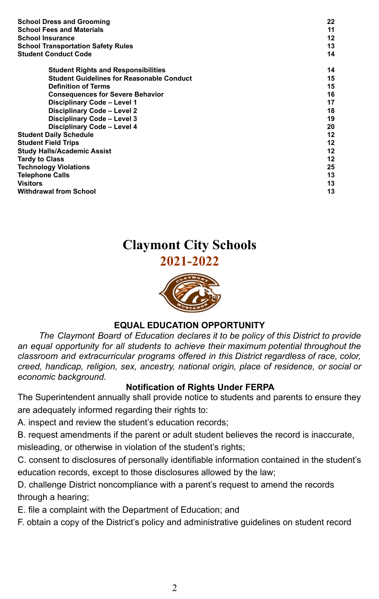| <b>School Dress and Grooming</b>                 | 22 |
|--------------------------------------------------|----|
| <b>School Fees and Materials</b>                 | 11 |
| <b>School Insurance</b>                          | 12 |
| <b>School Transportation Safety Rules</b>        | 13 |
| <b>Student Conduct Code</b>                      | 14 |
| <b>Student Rights and Responsibilities</b>       | 14 |
| <b>Student Guidelines for Reasonable Conduct</b> | 15 |
| <b>Definition of Terms</b>                       | 15 |
| <b>Consequences for Severe Behavior</b>          | 16 |
| Disciplinary Code - Level 1                      | 17 |
| Disciplinary Code - Level 2                      | 18 |
| Disciplinary Code - Level 3                      | 19 |
| Disciplinary Code - Level 4                      | 20 |
| <b>Student Daily Schedule</b>                    | 12 |
| <b>Student Field Trips</b>                       | 12 |
| <b>Study Halls/Academic Assist</b>               | 12 |
| <b>Tardy to Class</b>                            | 12 |
| <b>Technology Violations</b>                     | 25 |
| <b>Telephone Calls</b>                           | 13 |
| <b>Visitors</b>                                  | 13 |
| <b>Withdrawal from School</b>                    | 13 |

## **Claymont City Schools 2021-2022**



### **EQUAL EDUCATION OPPORTUNITY**

*The Claymont Board of Education declares it to be policy of this District to provide an equal opportunity for all students to achieve their maximum potential throughout the classroom and extracurricular programs offered in this District regardless of race, color, creed, handicap, religion, sex, ancestry, national origin, place of residence, or social or economic background.*

### **Notification of Rights Under FERPA**

The Superintendent annually shall provide notice to students and parents to ensure they are adequately informed regarding their rights to:

A. inspect and review the student's education records;

B. request amendments if the parent or adult student believes the record is inaccurate, misleading, or otherwise in violation of the student's rights;

C. consent to disclosures of personally identifiable information contained in the student's education records, except to those disclosures allowed by the law;

D. challenge District noncompliance with a parent's request to amend the records through a hearing;

E. file a complaint with the Department of Education; and

F. obtain a copy of the District's policy and administrative guidelines on student record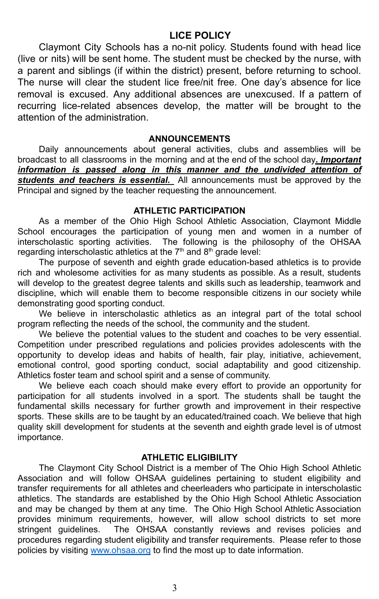### **LICE POLICY**

Claymont City Schools has a no-nit policy. Students found with head lice (live or nits) will be sent home. The student must be checked by the nurse, with a parent and siblings (if within the district) present, before returning to school. The nurse will clear the student lice free/nit free. One day's absence for lice removal is excused. Any additional absences are unexcused. If a pattern of recurring lice-related absences develop, the matter will be brought to the attention of the administration.

#### **ANNOUNCEMENTS**

Daily announcements about general activities, clubs and assemblies will be broadcast to all classrooms in the morning and at the end of the school day*. Important information is passed along in this manner and the undivided attention of students and teachers is essential.* All announcements must be approved by the Principal and signed by the teacher requesting the announcement.

#### **ATHLETIC PARTICIPATION**

As a member of the Ohio High School Athletic Association, Claymont Middle School encourages the participation of young men and women in a number of interscholastic sporting activities. The following is the philosophy of the OHSAA regarding interscholastic athletics at the  $7<sup>th</sup>$  and  $8<sup>th</sup>$  grade level:

The purpose of seventh and eighth grade education-based athletics is to provide rich and wholesome activities for as many students as possible. As a result, students will develop to the greatest degree talents and skills such as leadership, teamwork and discipline, which will enable them to become responsible citizens in our society while demonstrating good sporting conduct.

We believe in interscholastic athletics as an integral part of the total school program reflecting the needs of the school, the community and the student.

We believe the potential values to the student and coaches to be very essential. Competition under prescribed regulations and policies provides adolescents with the opportunity to develop ideas and habits of health, fair play, initiative, achievement, emotional control, good sporting conduct, social adaptability and good citizenship. Athletics foster team and school spirit and a sense of community.

We believe each coach should make every effort to provide an opportunity for participation for all students involved in a sport. The students shall be taught the fundamental skills necessary for further growth and improvement in their respective sports. These skills are to be taught by an educated/trained coach. We believe that high quality skill development for students at the seventh and eighth grade level is of utmost importance.

#### **ATHLETIC ELIGIBILITY**

The Claymont City School District is a member of The Ohio High School Athletic Association and will follow OHSAA guidelines pertaining to student eligibility and transfer requirements for all athletes and cheerleaders who participate in interscholastic athletics. The standards are established by the Ohio High School Athletic Association and may be changed by them at any time. The Ohio High School Athletic Association provides minimum requirements, however, will allow school districts to set more stringent guidelines. The OHSAA constantly reviews and revises policies and procedures regarding student eligibility and transfer requirements. Please refer to those policies by visiting [www.ohsaa.org](http://www.ohsaa.org) to find the most up to date information.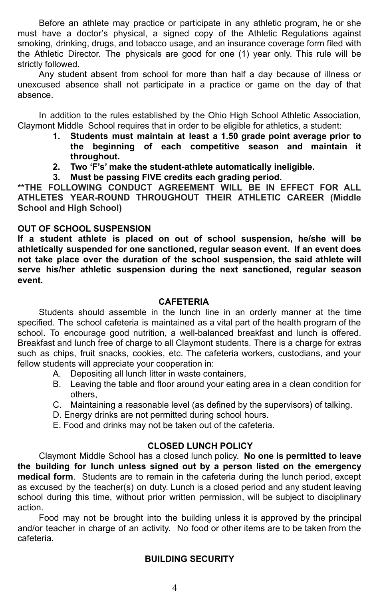Before an athlete may practice or participate in any athletic program, he or she must have a doctor's physical, a signed copy of the Athletic Regulations against smoking, drinking, drugs, and tobacco usage, and an insurance coverage form filed with the Athletic Director. The physicals are good for one (1) year only. This rule will be strictly followed.

Any student absent from school for more than half a day because of illness or unexcused absence shall not participate in a practice or game on the day of that absence.

In addition to the rules established by the Ohio High School Athletic Association, Claymont Middle School requires that in order to be eligible for athletics, a student:

- **1. Students must maintain at least a 1.50 grade point average prior to the beginning of each competitive season and maintain it throughout.**
- **2. Two 'F's' make the student-athlete automatically ineligible.**
- **3. Must be passing FIVE credits each grading period.**

**\*\*THE FOLLOWING CONDUCT AGREEMENT WILL BE IN EFFECT FOR ALL ATHLETES YEAR-ROUND THROUGHOUT THEIR ATHLETIC CAREER (Middle School and High School)**

#### **OUT OF SCHOOL SUSPENSION**

**If a student athlete is placed on out of school suspension, he/she will be athletically suspended for one sanctioned, regular season event. If an event does not take place over the duration of the school suspension, the said athlete will serve his/her athletic suspension during the next sanctioned, regular season event.**

#### **CAFETERIA**

Students should assemble in the lunch line in an orderly manner at the time specified. The school cafeteria is maintained as a vital part of the health program of the school. To encourage good nutrition, a well-balanced breakfast and lunch is offered. Breakfast and lunch free of charge to all Claymont students. There is a charge for extras such as chips, fruit snacks, cookies, etc. The cafeteria workers, custodians, and your fellow students will appreciate your cooperation in:

- A. Depositing all lunch litter in waste containers,
- B. Leaving the table and floor around your eating area in a clean condition for others,
- C. Maintaining a reasonable level (as defined by the supervisors) of talking.
- D. Energy drinks are not permitted during school hours.
- E. Food and drinks may not be taken out of the cafeteria.

### **CLOSED LUNCH POLICY**

Claymont Middle School has a closed lunch policy. **No one is permitted to leave the building for lunch unless signed out by a person listed on the emergency medical form**. Students are to remain in the cafeteria during the lunch period, except as excused by the teacher(s) on duty. Lunch is a closed period and any student leaving school during this time, without prior written permission, will be subject to disciplinary action.

Food may not be brought into the building unless it is approved by the principal and/or teacher in charge of an activity. No food or other items are to be taken from the cafeteria.

### **BUILDING SECURITY**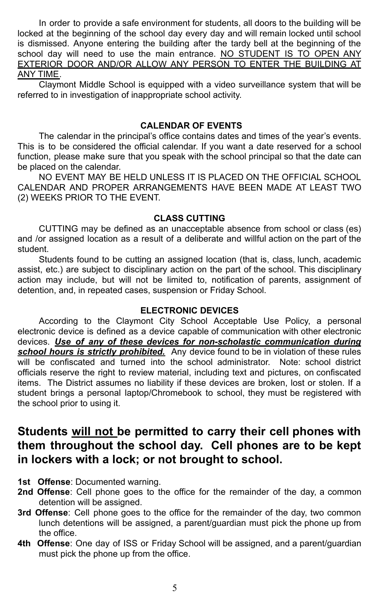In order to provide a safe environment for students, all doors to the building will be locked at the beginning of the school day every day and will remain locked until school is dismissed. Anyone entering the building after the tardy bell at the beginning of the school day will need to use the main entrance. NO STUDENT IS TO OPEN ANY EXTERIOR DOOR AND/OR ALLOW ANY PERSON TO ENTER THE BUILDING AT ANY TIME.

Claymont Middle School is equipped with a video surveillance system that will be referred to in investigation of inappropriate school activity.

#### **CALENDAR OF EVENTS**

The calendar in the principal's office contains dates and times of the year's events. This is to be considered the official calendar. If you want a date reserved for a school function, please make sure that you speak with the school principal so that the date can be placed on the calendar.

NO EVENT MAY BE HELD UNLESS IT IS PLACED ON THE OFFICIAL SCHOOL CALENDAR AND PROPER ARRANGEMENTS HAVE BEEN MADE AT LEAST TWO (2) WEEKS PRIOR TO THE EVENT.

#### **CLASS CUTTING**

CUTTING may be defined as an unacceptable absence from school or class (es) and /or assigned location as a result of a deliberate and willful action on the part of the student.

Students found to be cutting an assigned location (that is, class, lunch, academic assist, etc.) are subject to disciplinary action on the part of the school. This disciplinary action may include, but will not be limited to, notification of parents, assignment of detention, and, in repeated cases, suspension or Friday School.

#### **ELECTRONIC DEVICES**

According to the Claymont City School Acceptable Use Policy, a personal electronic device is defined as a device capable of communication with other electronic devices. *Use of any of these devices for non-scholastic communication during school hours is strictly prohibited.* Any device found to be in violation of these rules will be confiscated and turned into the school administrator. Note: school district officials reserve the right to review material, including text and pictures, on confiscated items. The District assumes no liability if these devices are broken, lost or stolen. If a student brings a personal laptop/Chromebook to school, they must be registered with the school prior to using it.

## **Students will not be permitted to carry their cell phones with them throughout the school day. Cell phones are to be kept in lockers with a lock; or not brought to school.**

- **1st Offense**: Documented warning.
- **2nd Offense**: Cell phone goes to the office for the remainder of the day, a common detention will be assigned.
- **3rd Offense**: Cell phone goes to the office for the remainder of the day, two common lunch detentions will be assigned, a parent/guardian must pick the phone up from the office.
- **4th Offense**: One day of ISS or Friday School will be assigned, and a parent/guardian must pick the phone up from the office.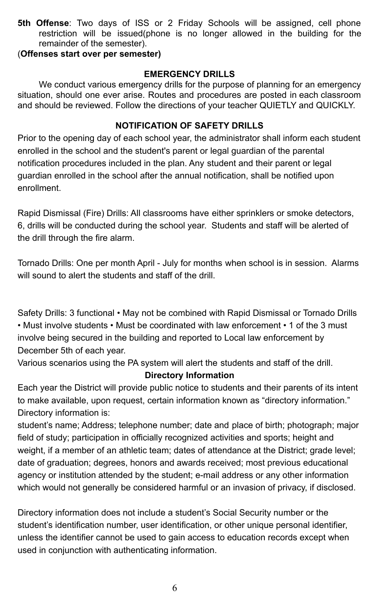**5th Offense**: Two days of ISS or 2 Friday Schools will be assigned, cell phone restriction will be issued(phone is no longer allowed in the building for the remainder of the semester).

#### (**Offenses start over per semester)**

#### **EMERGENCY DRILLS**

We conduct various emergency drills for the purpose of planning for an emergency situation, should one ever arise. Routes and procedures are posted in each classroom and should be reviewed. Follow the directions of your teacher QUIETLY and QUICKLY.

### **NOTIFICATION OF SAFETY DRILLS**

Prior to the opening day of each school year, the administrator shall inform each student enrolled in the school and the student's parent or legal guardian of the parental notification procedures included in the plan. Any student and their parent or legal guardian enrolled in the school after the annual notification, shall be notified upon enrollment.

Rapid Dismissal (Fire) Drills: All classrooms have either sprinklers or smoke detectors, 6, drills will be conducted during the school year. Students and staff will be alerted of the drill through the fire alarm.

Tornado Drills: One per month April - July for months when school is in session. Alarms will sound to alert the students and staff of the drill.

Safety Drills: 3 functional • May not be combined with Rapid Dismissal or Tornado Drills • Must involve students • Must be coordinated with law enforcement • 1 of the 3 must involve being secured in the building and reported to Local law enforcement by December 5th of each year.

Various scenarios using the PA system will alert the students and staff of the drill.

### **Directory Information**

Each year the District will provide public notice to students and their parents of its intent to make available, upon request, certain information known as "directory information." Directory information is:

student's name; Address; telephone number; date and place of birth; photograph; major field of study; participation in officially recognized activities and sports; height and weight, if a member of an athletic team; dates of attendance at the District; grade level; date of graduation; degrees, honors and awards received; most previous educational agency or institution attended by the student; e-mail address or any other information which would not generally be considered harmful or an invasion of privacy, if disclosed.

Directory information does not include a student's Social Security number or the student's identification number, user identification, or other unique personal identifier, unless the identifier cannot be used to gain access to education records except when used in conjunction with authenticating information.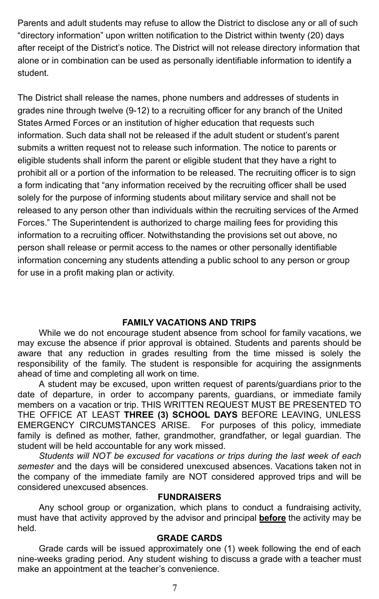Parents and adult students may refuse to allow the District to disclose any or all of such "directory information" upon written notification to the District within twenty (20) days after receipt of the District's notice. The District will not release directory information that alone or in combination can be used as personally identifiable information to identify a student.

The District shall release the names, phone numbers and addresses of students in grades nine through twelve (9-12) to a recruiting officer for any branch of the United States Armed Forces or an institution of higher education that requests such information. Such data shall not be released if the adult student or student's parent submits a written request not to release such information. The notice to parents or eligible students shall inform the parent or eligible student that they have a right to prohibit all or a portion of the information to be released. The recruiting officer is to sign a form indicating that "any information received by the recruiting officer shall be used solely for the purpose of informing students about military service and shall not be released to any person other than individuals within the recruiting services of the Armed Forces." The Superintendent is authorized to charge mailing fees for providing this information to a recruiting officer. Notwithstanding the provisions set out above, no person shall release or permit access to the names or other personally identifiable information concerning any students attending a public school to any person or group for use in a profit making plan or activity.

#### **FAMILY VACATIONS AND TRIPS**

While we do not encourage student absence from school for family vacations, we may excuse the absence if prior approval is obtained. Students and parents should be aware that any reduction in grades resulting from the time missed is solely the responsibility of the family. The student is responsible for acquiring the assignments ahead of time and completing all work on time.

A student may be excused, upon written request of parents/guardians prior to the date of departure, in order to accompany parents, guardians, or immediate family members on a vacation or trip. THIS WRITTEN REQUEST MUST BE PRESENTED TO THE OFFICE AT LEAST **THREE (3) SCHOOL DAYS** BEFORE LEAVING, UNLESS EMERGENCY CIRCUMSTANCES ARISE. For purposes of this policy, immediate family is defined as mother, father, grandmother, grandfather, or legal guardian. The student will be held accountable for any work missed.

*Students will NOT be excused for vacations or trips during the last week of each semester* and the days will be considered unexcused absences. Vacations taken not in the company of the immediate family are NOT considered approved trips and will be considered unexcused absences.

#### **FUNDRAISERS**

Any school group or organization, which plans to conduct a fundraising activity, must have that activity approved by the advisor and principal **before** the activity may be held.

#### **GRADE CARDS**

Grade cards will be issued approximately one (1) week following the end of each nine-weeks grading period. Any student wishing to discuss a grade with a teacher must make an appointment at the teacher's convenience.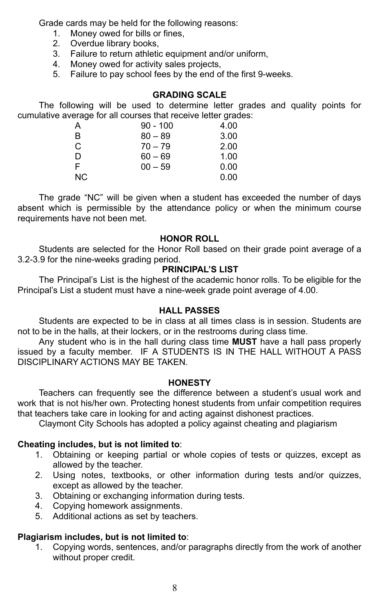Grade cards may be held for the following reasons:

- 1. Money owed for bills or fines,
- 2. Overdue library books,
- 3. Failure to return athletic equipment and/or uniform,
- 4. Money owed for activity sales projects,
- 5. Failure to pay school fees by the end of the first 9-weeks.

#### **GRADING SCALE**

The following will be used to determine letter grades and quality points for cumulative average for all courses that receive letter grades:

| Α   | $90 - 100$ | 4.00 |
|-----|------------|------|
| B   | $80 - 89$  | 3.00 |
| C   | $70 - 79$  | 2.00 |
| D   | $60 - 69$  | 1.00 |
| F   | $00 - 59$  | 0.00 |
| NC. |            | 0.00 |

The grade "NC" will be given when a student has exceeded the number of days absent which is permissible by the attendance policy or when the minimum course requirements have not been met.

#### **HONOR ROLL**

Students are selected for the Honor Roll based on their grade point average of a 3.2-3.9 for the nine-weeks grading period.

#### **PRINCIPAL'S LIST**

The Principal's List is the highest of the academic honor rolls. To be eligible for the Principal's List a student must have a nine-week grade point average of 4.00.

#### **HALL PASSES**

Students are expected to be in class at all times class is in session. Students are not to be in the halls, at their lockers, or in the restrooms during class time.

Any student who is in the hall during class time **MUST** have a hall pass properly issued by a faculty member. IF A STUDENTS IS IN THE HALL WITHOUT A PASS DISCIPLINARY ACTIONS MAY BE TAKEN.

#### **HONESTY**

Teachers can frequently see the difference between a student's usual work and work that is not his/her own. Protecting honest students from unfair competition requires that teachers take care in looking for and acting against dishonest practices.

Claymont City Schools has adopted a policy against cheating and plagiarism

#### **Cheating includes, but is not limited to**:

- 1. Obtaining or keeping partial or whole copies of tests or quizzes, except as allowed by the teacher.
- 2. Using notes, textbooks, or other information during tests and/or quizzes, except as allowed by the teacher.
- 3. Obtaining or exchanging information during tests.
- 4. Copying homework assignments.
- 5. Additional actions as set by teachers.

#### **Plagiarism includes, but is not limited to**:

1. Copying words, sentences, and/or paragraphs directly from the work of another without proper credit.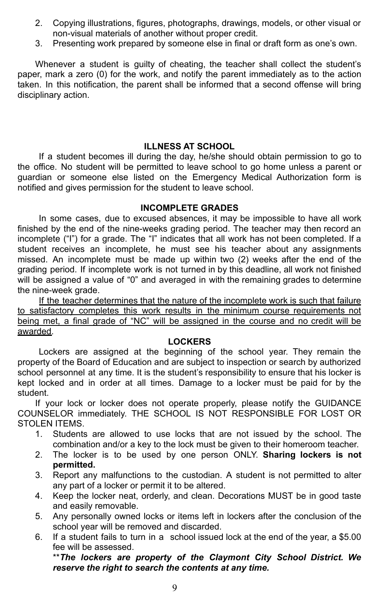- 2. Copying illustrations, figures, photographs, drawings, models, or other visual or non-visual materials of another without proper credit.
- 3. Presenting work prepared by someone else in final or draft form as one's own.

Whenever a student is guilty of cheating, the teacher shall collect the student's paper, mark a zero (0) for the work, and notify the parent immediately as to the action taken. In this notification, the parent shall be informed that a second offense will bring disciplinary action.

#### **ILLNESS AT SCHOOL**

If a student becomes ill during the day, he/she should obtain permission to go to the office. No student will be permitted to leave school to go home unless a parent or guardian or someone else listed on the Emergency Medical Authorization form is notified and gives permission for the student to leave school.

#### **INCOMPLETE GRADES**

In some cases, due to excused absences, it may be impossible to have all work finished by the end of the nine-weeks grading period. The teacher may then record an incomplete ("I") for a grade. The "I" indicates that all work has not been completed. If a student receives an incomplete, he must see his teacher about any assignments missed. An incomplete must be made up within two (2) weeks after the end of the grading period. If incomplete work is not turned in by this deadline, all work not finished will be assigned a value of "0" and averaged in with the remaining grades to determine the nine-week grade.

If the teacher determines that the nature of the incomplete work is such that failure to satisfactory completes this work results in the minimum course requirements not being met, a final grade of "NC" will be assigned in the course and no credit will be awarded.

#### **LOCKERS**

Lockers are assigned at the beginning of the school year. They remain the property of the Board of Education and are subject to inspection or search by authorized school personnel at any time. It is the student's responsibility to ensure that his locker is kept locked and in order at all times. Damage to a locker must be paid for by the student.

If your lock or locker does not operate properly, please notify the GUIDANCE COUNSELOR immediately. THE SCHOOL IS NOT RESPONSIBLE FOR LOST OR STOLEN ITEMS.

- 1. Students are allowed to use locks that are not issued by the school. The combination and/or a key to the lock must be given to their homeroom teacher.
- 2. The locker is to be used by one person ONLY. **Sharing lockers is not permitted.**
- 3. Report any malfunctions to the custodian. A student is not permitted to alter any part of a locker or permit it to be altered.
- 4. Keep the locker neat, orderly, and clean. Decorations MUST be in good taste and easily removable.
- 5. Any personally owned locks or items left in lockers after the conclusion of the school year will be removed and discarded.
- 6. If a student fails to turn in a school issued lock at the end of the year, a \$5.00 fee will be assessed.

\*\**The lockers are property of the Claymont City School District. We reserve the right to search the contents at any time.*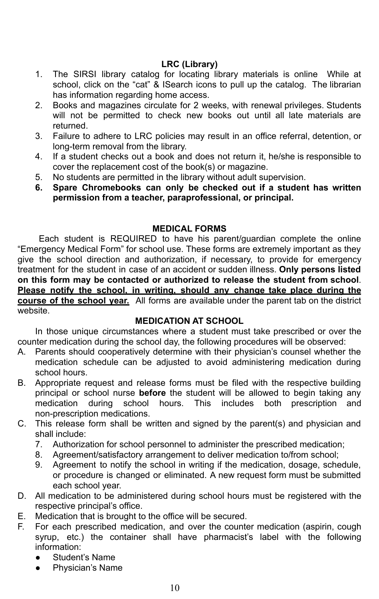#### **LRC (Library)**

- 1. The SIRSI library catalog for locating library materials is online While at school, click on the "cat" & ISearch icons to pull up the catalog. The librarian has information regarding home access.
- 2. Books and magazines circulate for 2 weeks, with renewal privileges. Students will not be permitted to check new books out until all late materials are returned.
- 3. Failure to adhere to LRC policies may result in an office referral, detention, or long-term removal from the library.
- 4. If a student checks out a book and does not return it, he/she is responsible to cover the replacement cost of the book(s) or magazine.
- 5. No students are permitted in the library without adult supervision.
- **6. Spare Chromebooks can only be checked out if a student has written permission from a teacher, paraprofessional, or principal.**

#### **MEDICAL FORMS**

Each student is REQUIRED to have his parent/guardian complete the online "Emergency Medical Form" for school use. These forms are extremely important as they give the school direction and authorization, if necessary, to provide for emergency treatment for the student in case of an accident or sudden illness. **Only persons listed on this form may be contacted or authorized to release the student from school**. **Please notify the school, in writing, should any change take place during the course of the school year.** All forms are available under the parent tab on the district website.

#### **MEDICATION AT SCHOOL**

In those unique circumstances where a student must take prescribed or over the counter medication during the school day, the following procedures will be observed:

- A. Parents should cooperatively determine with their physician's counsel whether the medication schedule can be adjusted to avoid administering medication during school hours.
- B. Appropriate request and release forms must be filed with the respective building principal or school nurse **before** the student will be allowed to begin taking any medication during school hours. This includes both prescription and non-prescription medications.
- C. This release form shall be written and signed by the parent(s) and physician and shall include:
	- 7. Authorization for school personnel to administer the prescribed medication;
	- 8. Agreement/satisfactory arrangement to deliver medication to/from school;
	- 9. Agreement to notify the school in writing if the medication, dosage, schedule, or procedure is changed or eliminated. A new request form must be submitted each school year.
- D. All medication to be administered during school hours must be registered with the respective principal's office.
- E. Medication that is brought to the office will be secured.
- F. For each prescribed medication, and over the counter medication (aspirin, cough syrup, etc.) the container shall have pharmacist's label with the following information:
	- Student's Name
	- Physician's Name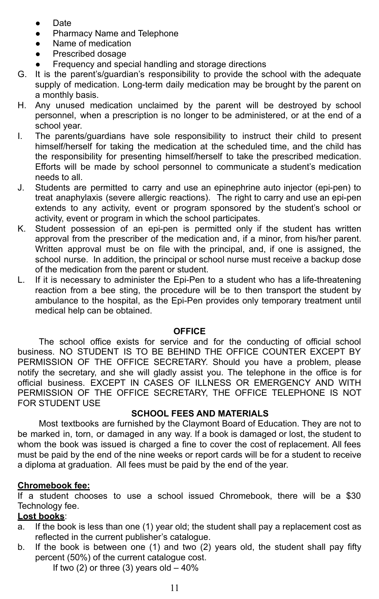- Date
- Pharmacy Name and Telephone
- Name of medication
- Prescribed dosage
- Frequency and special handling and storage directions
- G. It is the parent's/guardian's responsibility to provide the school with the adequate supply of medication. Long-term daily medication may be brought by the parent on a monthly basis.
- H. Any unused medication unclaimed by the parent will be destroyed by school personnel, when a prescription is no longer to be administered, or at the end of a school year.
- I. The parents/guardians have sole responsibility to instruct their child to present himself/herself for taking the medication at the scheduled time, and the child has the responsibility for presenting himself/herself to take the prescribed medication. Efforts will be made by school personnel to communicate a student's medication needs to all.
- J. Students are permitted to carry and use an epinephrine auto injector (epi-pen) to treat anaphylaxis (severe allergic reactions). The right to carry and use an epi-pen extends to any activity, event or program sponsored by the student's school or activity, event or program in which the school participates.
- K. Student possession of an epi-pen is permitted only if the student has written approval from the prescriber of the medication and, if a minor, from his/her parent. Written approval must be on file with the principal, and, if one is assigned, the school nurse. In addition, the principal or school nurse must receive a backup dose of the medication from the parent or student.
- L. If it is necessary to administer the Epi-Pen to a student who has a life-threatening reaction from a bee sting, the procedure will be to then transport the student by ambulance to the hospital, as the Epi-Pen provides only temporary treatment until medical help can be obtained.

#### **OFFICE**

The school office exists for service and for the conducting of official school business. NO STUDENT IS TO BE BEHIND THE OFFICE COUNTER EXCEPT BY PERMISSION OF THE OFFICE SECRETARY. Should you have a problem, please notify the secretary, and she will gladly assist you. The telephone in the office is for official business. EXCEPT IN CASES OF ILLNESS OR EMERGENCY AND WITH PERMISSION OF THE OFFICE SECRETARY, THE OFFICE TELEPHONE IS NOT FOR STUDENT USE

#### **SCHOOL FEES AND MATERIALS**

Most textbooks are furnished by the Claymont Board of Education. They are not to be marked in, torn, or damaged in any way. If a book is damaged or lost, the student to whom the book was issued is charged a fine to cover the cost of replacement. All fees must be paid by the end of the nine weeks or report cards will be for a student to receive a diploma at graduation. All fees must be paid by the end of the year.

#### **Chromebook fee:**

If a student chooses to use a school issued Chromebook, there will be a \$30 Technology fee.

#### **Lost books**:

- a. If the book is less than one (1) year old; the student shall pay a replacement cost as reflected in the current publisher's catalogue.
- b. If the book is between one (1) and two (2) years old, the student shall pay fifty percent (50%) of the current catalogue cost.

If two  $(2)$  or three  $(3)$  years old  $-40\%$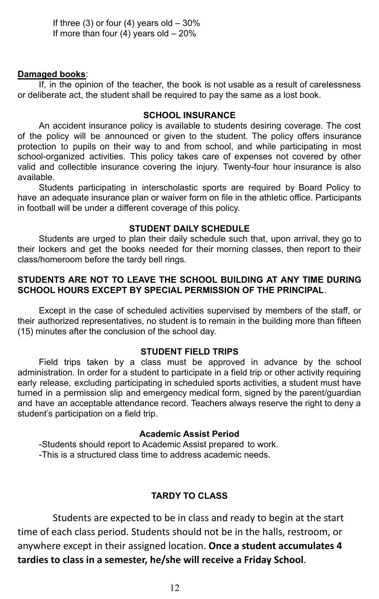If three  $(3)$  or four  $(4)$  years old  $-30\%$ If more than four (4) years old  $-20%$ 

#### **Damaged books**:

If, in the opinion of the teacher, the book is not usable as a result of carelessness or deliberate act, the student shall be required to pay the same as a lost book.

#### **SCHOOL INSURANCE**

An accident insurance policy is available to students desiring coverage. The cost of the policy will be announced or given to the student. The policy offers insurance protection to pupils on their way to and from school, and while participating in most school-organized activities. This policy takes care of expenses not covered by other valid and collectible insurance covering the injury. Twenty-four hour insurance is also available.

Students participating in interscholastic sports are required by Board Policy to have an adequate insurance plan or waiver form on file in the athletic office. Participants in football will be under a different coverage of this policy.

#### **STUDENT DAILY SCHEDULE**

Students are urged to plan their daily schedule such that, upon arrival, they go to their lockers and get the books needed for their morning classes, then report to their class/homeroom before the tardy bell rings.

#### **STUDENTS ARE NOT TO LEAVE THE SCHOOL BUILDING AT ANY TIME DURING SCHOOL HOURS EXCEPT BY SPECIAL PERMISSION OF THE PRINCIPAL**.

Except in the case of scheduled activities supervised by members of the staff, or their authorized representatives, no student is to remain in the building more than fifteen (15) minutes after the conclusion of the school day.

#### **STUDENT FIELD TRIPS**

Field trips taken by a class must be approved in advance by the school administration. In order for a student to participate in a field trip or other activity requiring early release, excluding participating in scheduled sports activities, a student must have turned in a permission slip and emergency medical form, signed by the parent/guardian and have an acceptable attendance record. Teachers always reserve the right to deny a student's participation on a field trip.

#### **Academic Assist Period**

-Students should report to Academic Assist prepared to work. -This is a structured class time to address academic needs.

#### **TARDY TO CLASS**

Students are expected to be in class and ready to begin at the start time of each class period. Students should not be in the halls, restroom, or anywhere except in their assigned location. **Once a student accumulates 4 tardies to class in a semester, he/she will receive a Friday School**.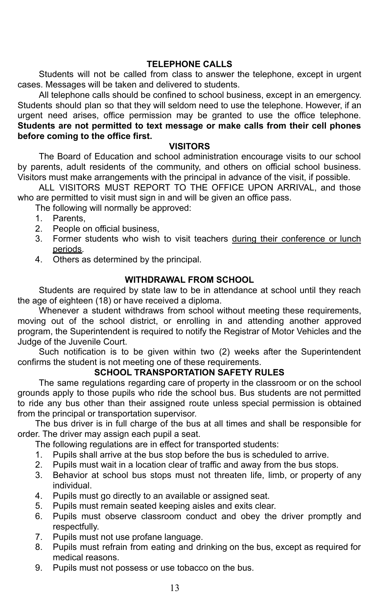#### **TELEPHONE CALLS**

Students will not be called from class to answer the telephone, except in urgent cases. Messages will be taken and delivered to students.

All telephone calls should be confined to school business, except in an emergency. Students should plan so that they will seldom need to use the telephone. However, if an urgent need arises, office permission may be granted to use the office telephone. **Students are not permitted to text message or make calls from their cell phones before coming to the office first.**

#### **VISITORS**

The Board of Education and school administration encourage visits to our school by parents, adult residents of the community, and others on official school business. Visitors must make arrangements with the principal in advance of the visit, if possible.

ALL VISITORS MUST REPORT TO THE OFFICE UPON ARRIVAL, and those who are permitted to visit must sign in and will be given an office pass.

The following will normally be approved:

- 1. Parents,
- 2. People on official business,
- 3. Former students who wish to visit teachers during their conference or lunch periods.
- 4. Others as determined by the principal.

#### **WITHDRAWAL FROM SCHOOL**

Students are required by state law to be in attendance at school until they reach the age of eighteen (18) or have received a diploma.

Whenever a student withdraws from school without meeting these requirements, moving out of the school district, or enrolling in and attending another approved program, the Superintendent is required to notify the Registrar of Motor Vehicles and the Judge of the Juvenile Court.

Such notification is to be given within two (2) weeks after the Superintendent confirms the student is not meeting one of these requirements.

#### **SCHOOL TRANSPORTATION SAFETY RULES**

The same regulations regarding care of property in the classroom or on the school grounds apply to those pupils who ride the school bus. Bus students are not permitted to ride any bus other than their assigned route unless special permission is obtained from the principal or transportation supervisor.

The bus driver is in full charge of the bus at all times and shall be responsible for order. The driver may assign each pupil a seat.

The following regulations are in effect for transported students:

- 1. Pupils shall arrive at the bus stop before the bus is scheduled to arrive.
- 2. Pupils must wait in a location clear of traffic and away from the bus stops.
- 3. Behavior at school bus stops must not threaten life, limb, or property of any individual.
- 4. Pupils must go directly to an available or assigned seat.
- 5. Pupils must remain seated keeping aisles and exits clear.
- 6. Pupils must observe classroom conduct and obey the driver promptly and respectfully.
- 7. Pupils must not use profane language.
- 8. Pupils must refrain from eating and drinking on the bus, except as required for medical reasons.
- 9. Pupils must not possess or use tobacco on the bus.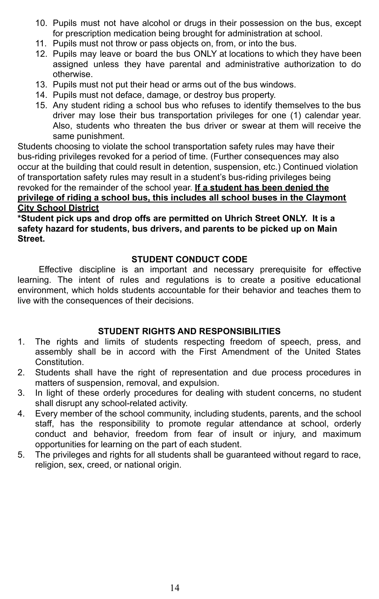- 10. Pupils must not have alcohol or drugs in their possession on the bus, except for prescription medication being brought for administration at school.
- 11. Pupils must not throw or pass objects on, from, or into the bus.
- 12. Pupils may leave or board the bus ONLY at locations to which they have been assigned unless they have parental and administrative authorization to do otherwise.
- 13. Pupils must not put their head or arms out of the bus windows.
- 14. Pupils must not deface, damage, or destroy bus property.
- 15. Any student riding a school bus who refuses to identify themselves to the bus driver may lose their bus transportation privileges for one (1) calendar year. Also, students who threaten the bus driver or swear at them will receive the same punishment.

Students choosing to violate the school transportation safety rules may have their bus-riding privileges revoked for a period of time. (Further consequences may also occur at the building that could result in detention, suspension, etc.) Continued violation of transportation safety rules may result in a student's bus-riding privileges being revoked for the remainder of the school year. **If a student has been denied the privilege of riding a school bus, this includes all school buses in the Claymont City School District**

**\*Student pick ups and drop offs are permitted on Uhrich Street ONLY. It is a safety hazard for students, bus drivers, and parents to be picked up on Main Street.**

#### **STUDENT CONDUCT CODE**

Effective discipline is an important and necessary prerequisite for effective learning. The intent of rules and regulations is to create a positive educational environment, which holds students accountable for their behavior and teaches them to live with the consequences of their decisions.

#### **STUDENT RIGHTS AND RESPONSIBILITIES**

- 1. The rights and limits of students respecting freedom of speech, press, and assembly shall be in accord with the First Amendment of the United States Constitution.
- 2. Students shall have the right of representation and due process procedures in matters of suspension, removal, and expulsion.
- 3. In light of these orderly procedures for dealing with student concerns, no student shall disrupt any school-related activity.
- 4. Every member of the school community, including students, parents, and the school staff, has the responsibility to promote regular attendance at school, orderly conduct and behavior, freedom from fear of insult or injury, and maximum opportunities for learning on the part of each student.
- 5. The privileges and rights for all students shall be guaranteed without regard to race, religion, sex, creed, or national origin.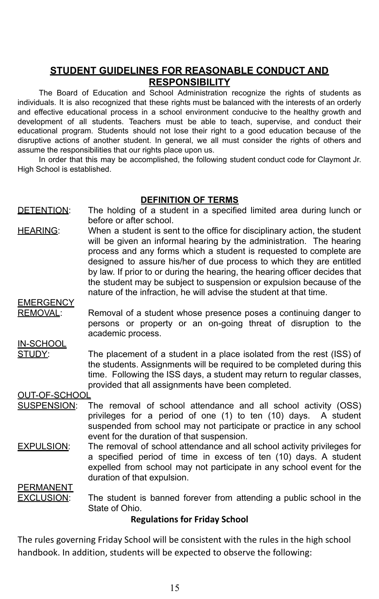## **STUDENT GUIDELINES FOR REASONABLE CONDUCT AND RESPONSIBILITY**

The Board of Education and School Administration recognize the rights of students as individuals. It is also recognized that these rights must be balanced with the interests of an orderly and effective educational process in a school environment conducive to the healthy growth and development of all students. Teachers must be able to teach, supervise, and conduct their educational program. Students should not lose their right to a good education because of the disruptive actions of another student. In general, we all must consider the rights of others and assume the responsibilities that our rights place upon us.

In order that this may be accomplished, the following student conduct code for Claymont Jr. High School is established.

#### **DEFINITION OF TERMS**

- DETENTION: The holding of a student in a specified limited area during lunch or before or after school.
- HEARING: When a student is sent to the office for disciplinary action, the student will be given an informal hearing by the administration. The hearing process and any forms which a student is requested to complete are designed to assure his/her of due process to which they are entitled by law. If prior to or during the hearing, the hearing officer decides that the student may be subject to suspension or expulsion because of the nature of the infraction, he will advise the student at that time.

### **EMERGENCY**

REMOVAL: Removal of a student whose presence poses a continuing danger to persons or property or an on-going threat of disruption to the academic process.

## IN-SCHOOL

STUDY: The placement of a student in a place isolated from the rest (ISS) of the students. Assignments will be required to be completed during this time. Following the ISS days, a student may return to regular classes, provided that all assignments have been completed.

#### OUT-OF-SCHOOL

- SUSPENSION: The removal of school attendance and all school activity (OSS) privileges for a period of one (1) to ten (10) days. A student suspended from school may not participate or practice in any school event for the duration of that suspension.
- EXPULSION: The removal of school attendance and all school activity privileges for a specified period of time in excess of ten (10) days. A student expelled from school may not participate in any school event for the duration of that expulsion.

**PERMANENT** 

**EXCLUSION:** The student is banned forever from attending a public school in the State of Ohio.

### **Regulations for Friday School**

The rules governing Friday School will be consistent with the rules in the high school handbook. In addition, students will be expected to observe the following: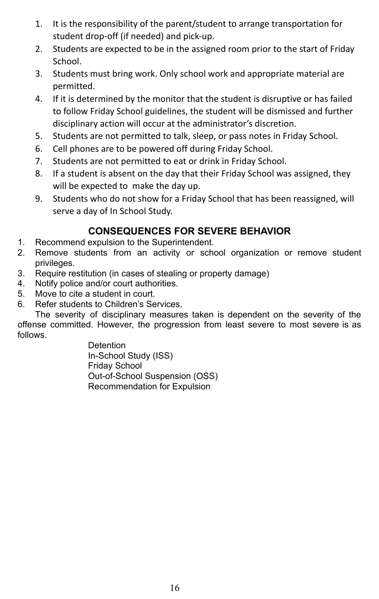- 1. It is the responsibility of the parent/student to arrange transportation for student drop-off (if needed) and pick-up.
- 2. Students are expected to be in the assigned room prior to the start of Friday School.
- 3. Students must bring work. Only school work and appropriate material are permitted.
- 4. If it is determined by the monitor that the student is disruptive or has failed to follow Friday School guidelines, the student will be dismissed and further disciplinary action will occur at the administrator's discretion.
- 5. Students are not permitted to talk, sleep, or pass notes in Friday School.
- 6. Cell phones are to be powered off during Friday School.
- 7. Students are not permitted to eat or drink in Friday School.
- 8. If a student is absent on the day that their Friday School was assigned, they will be expected to make the day up.
- 9. Students who do not show for a Friday School that has been reassigned, will serve a day of In School Study.

## **CONSEQUENCES FOR SEVERE BEHAVIOR**

- 1. Recommend expulsion to the Superintendent.
- 2. Remove students from an activity or school organization or remove student privileges.
- 3. Require restitution (in cases of stealing or property damage)
- 4. Notify police and/or court authorities.
- 5. Move to cite a student in court.
- 6. Refer students to Children's Services.

The severity of disciplinary measures taken is dependent on the severity of the offense committed. However, the progression from least severe to most severe is as follows.

> **Detention** In-School Study (ISS) Friday School Out-of-School Suspension (OSS) Recommendation for Expulsion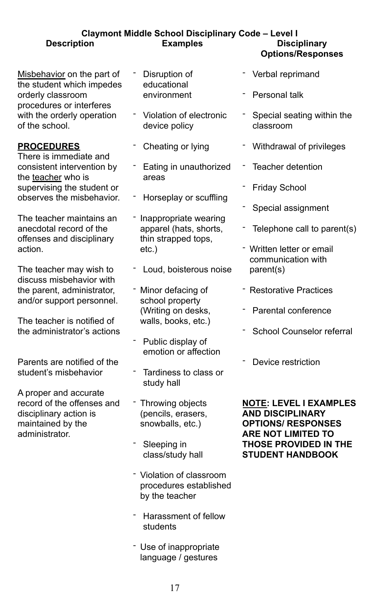## **Claymont Middle School Disciplinary Code – Level I Description Examples Disciplinary**

Misbehavior on the part of the student which impedes orderly classroom procedures or interferes with the orderly operation of the school.

#### **PROCEDURES**

There is immediate and consistent intervention by the teacher who is supervising the student or observes the misbehavior.

The teacher maintains an anecdotal record of the offenses and disciplinary action.

The teacher may wish to discuss misbehavior with the parent, administrator, and/or support personnel.

The teacher is notified of the administrator's actions

Parents are notified of the student's misbehavior

A proper and accurate record of the offenses and disciplinary action is maintained by the administrator.

- Disruption of educational environment
- ־ Violation of electronic device policy
- Cheating or lying
- Eating in unauthorized areas
- Horseplay or scuffling
- Inappropriate wearing apparel (hats, shorts, thin strapped tops, etc.)
- Loud, boisterous noise
- ־ Minor defacing of school property (Writing on desks, walls, books, etc.)
- ־ Public display of emotion or affection
- ־ Tardiness to class or study hall
- Throwing objects (pencils, erasers, snowballs, etc.)
- Sleeping in class/study hall
- ־ Violation of classroom procedures established by the teacher
- ־ Harassment of fellow students
- ־ Use of inappropriate language / gestures

# **Options/Responses**

- Verbal reprimand
- ־ Personal talk
- ־ Special seating within the classroom
- ־ Withdrawal of privileges
- Teacher detention
- Friday School
- Special assignment
- Telephone call to parent(s)
- Written letter or email communication with parent(s)
- ־ Restorative Practices
- Parental conference
- ־ School Counselor referral
- ־ Device restriction

**NOTE: LEVEL I EXAMPLES AND DISCIPLINARY OPTIONS/ RESPONSES ARE NOT LIMITED TO THOSE PROVIDED IN THE STUDENT HANDBOOK**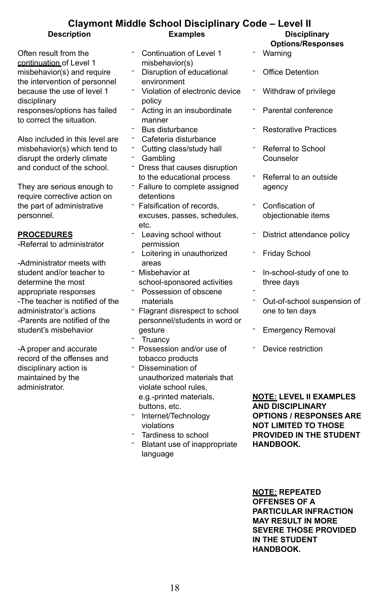#### **Claymont Middle School Disciplinary Code – Level II Description Examples Disciplinary**

Often result from the continuation of Level 1 misbehavior(s) and require the intervention of personnel because the use of level 1 disciplinary responses/options has failed to correct the situation.

Also included in this level are misbehavior(s) which tend to disrupt the orderly climate and conduct of the school.

They are serious enough to require corrective action on the part of administrative personnel.

#### **PROCEDURES**

-Referral to administrator

-Administrator meets with student and/or teacher to determine the most appropriate responses -The teacher is notified of the administrator's actions -Parents are notified of the student's misbehavior

-A proper and accurate record of the offenses and disciplinary action is maintained by the administrator.

- Continuation of Level 1 misbehavior(s)
- Disruption of educational environment
- ־ Violation of electronic device policy
- Acting in an insubordinate manner
- Bus disturbance
- Cafeteria disturbance
- Cutting class/study hall
- **Gambling**
- ־ Dress that causes disruption to the educational process
- ־ Failure to complete assigned detentions
- ־ Falsification of records, excuses, passes, schedules, etc.
- Leaving school without permission
- Loitering in unauthorized areas
- ־ Misbehavior at school-sponsored activities
- Possession of obscene materials
- ־ Flagrant disrespect to school personnel/students in word or gesture
- **Truancy**
- Possession and/or use of tobacco products
- ־ Dissemination of unauthorized materials that violate school rules, e.g.-printed materials, buttons, etc.
- ־ Internet/Technology violations
- ־ Tardiness to school
- Blatant use of inappropriate language
- **Options/Responses**
- Warning ־
- ־ Office Detention
- Withdraw of privilege
- ־ Parental conference
- Restorative Practices
- Referral to School Counselor
- Referral to an outside agency
- Confiscation of objectionable items
- District attendance policy
- Friday School
- In-school-study of one to three days
- ־ Out-of-school suspension of one to ten days
- Emergency Removal
- Device restriction

**NOTE: LEVEL II EXAMPLES AND DISCIPLINARY OPTIONS / RESPONSES ARE NOT LIMITED TO THOSE PROVIDED IN THE STUDENT HANDBOOK.**

**NOTE: REPEATED OFFENSES OF A PARTICULAR INFRACTION MAY RESULT IN MORE SEVERE THOSE PROVIDED IN THE STUDENT HANDBOOK.**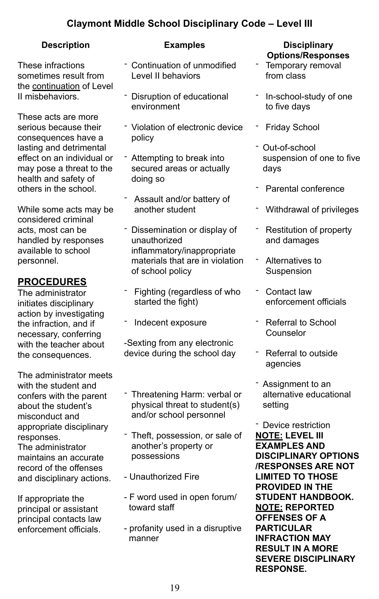## **Claymont Middle School Disciplinary Code – Level III**

These infractions sometimes result from the continuation of Level II misbehaviors.

These acts are more serious because their consequences have a lasting and detrimental effect on an individual or may pose a threat to the health and safety of others in the school.

While some acts may be considered criminal acts, most can be handled by responses available to school personnel.

## **PROCEDURES**

The administrator initiates disciplinary action by investigating the infraction, and if necessary, conferring with the teacher about the consequences.

The administrator meets with the student and confers with the parent about the student's misconduct and appropriate disciplinary responses. The administrator maintains an accurate record of the offenses and disciplinary actions.

If appropriate the principal or assistant principal contacts law enforcement officials.

- ־ Continuation of unmodified Level II behaviors
- Disruption of educational environment
- Violation of electronic device policy
- Attempting to break into secured areas or actually doing so
- Assault and/or battery of another student
- ־ Dissemination or display of unauthorized inflammatory/inappropriate materials that are in violation of school policy
- Fighting (regardless of who started the fight)
- Indecent exposure

-Sexting from any electronic device during the school day

- Threatening Harm: verbal or physical threat to student(s) and/or school personnel
- ־ Theft, possession, or sale of another's property or possessions
- Unauthorized Fire
- F word used in open forum/ toward staff
- profanity used in a disruptive manner

#### **Description Examples Disciplinary Options/Responses**

- Temporary removal from class
- In-school-study of one to five days
- **Friday School**
- ־ Out-of-school suspension of one to five days
- Parental conference
- Withdrawal of privileges
- Restitution of property and damages
- Alternatives to Suspension
- Contact law enforcement officials
- Referral to School Counselor
- Referral to outside agencies
- Assignment to an alternative educational setting

- Device restriction **NOTE: LEVEL III EXAMPLES AND DISCIPLINARY OPTIONS /RESPONSES ARE NOT LIMITED TO THOSE PROVIDED IN THE STUDENT HANDBOOK. NOTE: REPORTED OFFENSES OF A PARTICULAR INFRACTION MAY RESULT IN A MORE SEVERE DISCIPLINARY RESPONSE.**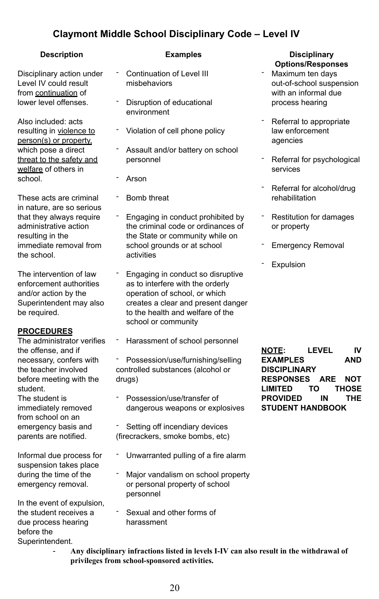## **Claymont Middle School Disciplinary Code – Level IV**

Disciplinary action under Level IV could result from continuation of lower level offenses.

Also included: acts resulting in violence to person(s) or property, which pose a direct threat to the safety and welfare of others in school.

These acts are criminal in nature, are so serious that they always require administrative action resulting in the immediate removal from the school.

The intervention of law enforcement authorities and/or action by the Superintendent may also be required.

#### **PROCEDURES**

The administrator verifies the offense, and if necessary, confers with the teacher involved before meeting with the student.

The student is immediately removed from school on an emergency basis and parents are notified.

Informal due process for suspension takes place during the time of the emergency removal.

In the event of expulsion, the student receives a due process hearing before the Superintendent.

- Continuation of Level III misbehaviors
- Disruption of educational environment
- ־ Violation of cell phone policy
- Assault and/or battery on school personnel
- Arson
- Bomb threat
- Engaging in conduct prohibited by the criminal code or ordinances of the State or community while on school grounds or at school activities
- Engaging in conduct so disruptive as to interfere with the orderly operation of school, or which creates a clear and present danger to the health and welfare of the school or community
- Harassment of school personnel
- Possession/use/furnishing/selling controlled substances (alcohol or drugs)
- Possession/use/transfer of dangerous weapons or explosives
- Setting off incendiary devices (firecrackers, smoke bombs, etc)
- Unwarranted pulling of a fire alarm
- Major vandalism on school property or personal property of school personnel
- Sexual and other forms of harassment

#### **Description Examples Disciplinary Options/Responses**

- Maximum ten days out-of-school suspension with an informal due process hearing
- Referral to appropriate law enforcement agencies
- Referral for psychological services
- Referral for alcohol/drug rehabilitation
- Restitution for damages or property
- **Emergency Removal**
- **Expulsion**

**NOTE: LEVEL IV EXAMPLES AND DISCIPLINARY RESPONSES ARE NOT LIMITED TO THOSE PROVIDED IN THE STUDENT HANDBOOK**

- **Any disciplinary infractions listed in levels I-IV can also result in the withdrawal of privileges from school-sponsored activities.**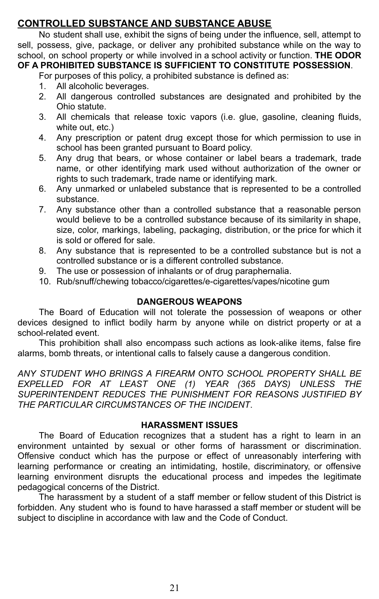## **CONTROLLED SUBSTANCE AND SUBSTANCE ABUSE**

No student shall use, exhibit the signs of being under the influence, sell, attempt to sell, possess, give, package, or deliver any prohibited substance while on the way to school, on school property or while involved in a school activity or function. **THE ODOR OF A PROHIBITED SUBSTANCE IS SUFFICIENT TO CONSTITUTE POSSESSION**.

For purposes of this policy, a prohibited substance is defined as:

- 1. All alcoholic beverages.
- 2. All dangerous controlled substances are designated and prohibited by the Ohio statute.
- 3. All chemicals that release toxic vapors (i.e. glue, gasoline, cleaning fluids, white out, etc.)
- 4. Any prescription or patent drug except those for which permission to use in school has been granted pursuant to Board policy.
- 5. Any drug that bears, or whose container or label bears a trademark, trade name, or other identifying mark used without authorization of the owner or rights to such trademark, trade name or identifying mark.
- 6. Any unmarked or unlabeled substance that is represented to be a controlled substance.
- 7. Any substance other than a controlled substance that a reasonable person would believe to be a controlled substance because of its similarity in shape, size, color, markings, labeling, packaging, distribution, or the price for which it is sold or offered for sale.
- 8. Any substance that is represented to be a controlled substance but is not a controlled substance or is a different controlled substance.
- 9. The use or possession of inhalants or of drug paraphernalia.
- 10. Rub/snuff/chewing tobacco/cigarettes/e-cigarettes/vapes/nicotine gum

### **DANGEROUS WEAPONS**

The Board of Education will not tolerate the possession of weapons or other devices designed to inflict bodily harm by anyone while on district property or at a school-related event.

This prohibition shall also encompass such actions as look-alike items, false fire alarms, bomb threats, or intentional calls to falsely cause a dangerous condition.

*ANY STUDENT WHO BRINGS A FIREARM ONTO SCHOOL PROPERTY SHALL BE EXPELLED FOR AT LEAST ONE (1) YEAR (365 DAYS) UNLESS THE SUPERINTENDENT REDUCES THE PUNISHMENT FOR REASONS JUSTIFIED BY THE PARTICULAR CIRCUMSTANCES OF THE INCIDENT*.

#### **HARASSMENT ISSUES**

The Board of Education recognizes that a student has a right to learn in an environment untainted by sexual or other forms of harassment or discrimination. Offensive conduct which has the purpose or effect of unreasonably interfering with learning performance or creating an intimidating, hostile, discriminatory, or offensive learning environment disrupts the educational process and impedes the legitimate pedagogical concerns of the District.

The harassment by a student of a staff member or fellow student of this District is forbidden. Any student who is found to have harassed a staff member or student will be subject to discipline in accordance with law and the Code of Conduct.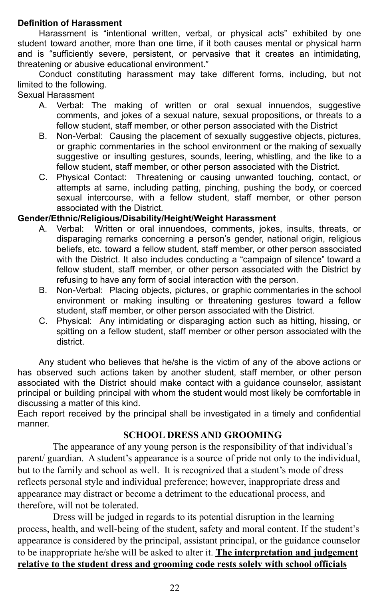#### **Definition of Harassment**

Harassment is "intentional written, verbal, or physical acts" exhibited by one student toward another, more than one time, if it both causes mental or physical harm and is "sufficiently severe, persistent, or pervasive that it creates an intimidating, threatening or abusive educational environment."

Conduct constituting harassment may take different forms, including, but not limited to the following.

#### Sexual Harassment

- A. Verbal: The making of written or oral sexual innuendos, suggestive comments, and jokes of a sexual nature, sexual propositions, or threats to a fellow student, staff member, or other person associated with the District
- B. Non-Verbal: Causing the placement of sexually suggestive objects, pictures, or graphic commentaries in the school environment or the making of sexually suggestive or insulting gestures, sounds, leering, whistling, and the like to a fellow student, staff member, or other person associated with the District.
- C. Physical Contact: Threatening or causing unwanted touching, contact, or attempts at same, including patting, pinching, pushing the body, or coerced sexual intercourse, with a fellow student, staff member, or other person associated with the District.

#### **Gender/Ethnic/Religious/Disability/Height/Weight Harassment**

- A. Verbal: Written or oral innuendoes, comments, jokes, insults, threats, or disparaging remarks concerning a person's gender, national origin, religious beliefs, etc. toward a fellow student, staff member, or other person associated with the District. It also includes conducting a "campaign of silence" toward a fellow student, staff member, or other person associated with the District by refusing to have any form of social interaction with the person.
- B. Non-Verbal: Placing objects, pictures, or graphic commentaries in the school environment or making insulting or threatening gestures toward a fellow student, staff member, or other person associated with the District.
- C. Physical: Any intimidating or disparaging action such as hitting, hissing, or spitting on a fellow student, staff member or other person associated with the district.

Any student who believes that he/she is the victim of any of the above actions or has observed such actions taken by another student, staff member, or other person associated with the District should make contact with a guidance counselor, assistant principal or building principal with whom the student would most likely be comfortable in discussing a matter of this kind.

Each report received by the principal shall be investigated in a timely and confidential manner.

### **SCHOOL DRESS AND GROOMING**

The appearance of any young person is the responsibility of that individual's parent/ guardian. A student's appearance is a source of pride not only to the individual, but to the family and school as well. It is recognized that a student's mode of dress reflects personal style and individual preference; however, inappropriate dress and appearance may distract or become a detriment to the educational process, and therefore, will not be tolerated.

Dress will be judged in regards to its potential disruption in the learning process, health, and well-being of the student, safety and moral content. If the student's appearance is considered by the principal, assistant principal, or the guidance counselor to be inappropriate he/she will be asked to alter it. **The interpretation and judgement relative to the student dress and grooming code rests solely with school officials**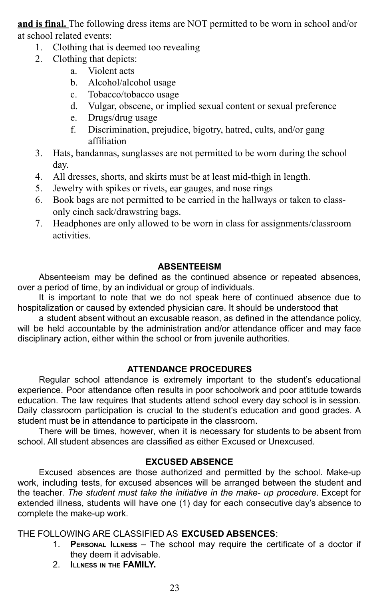**and is final.** The following dress items are NOT permitted to be worn in school and/or at school related events:

- 1. Clothing that is deemed too revealing
	- 2. Clothing that depicts:
		- a. Violent acts
		- b. Alcohol/alcohol usage
		- c. Tobacco/tobacco usage
		- d. Vulgar, obscene, or implied sexual content or sexual preference
		- e. Drugs/drug usage
		- f. Discrimination, prejudice, bigotry, hatred, cults, and/or gang affiliation
- 3. Hats, bandannas, sunglasses are not permitted to be worn during the school day.
- 4. All dresses, shorts, and skirts must be at least mid-thigh in length.
- 5. Jewelry with spikes or rivets, ear gauges, and nose rings
- 6. Book bags are not permitted to be carried in the hallways or taken to classonly cinch sack/drawstring bags.
- 7. Headphones are only allowed to be worn in class for assignments/classroom activities.

#### **ABSENTEEISM**

Absenteeism may be defined as the continued absence or repeated absences, over a period of time, by an individual or group of individuals.

It is important to note that we do not speak here of continued absence due to hospitalization or caused by extended physician care. It should be understood that

a student absent without an excusable reason, as defined in the attendance policy, will be held accountable by the administration and/or attendance officer and may face disciplinary action, either within the school or from juvenile authorities.

### **ATTENDANCE PROCEDURES**

Regular school attendance is extremely important to the student's educational experience. Poor attendance often results in poor schoolwork and poor attitude towards education. The law requires that students attend school every day school is in session. Daily classroom participation is crucial to the student's education and good grades. A student must be in attendance to participate in the classroom.

There will be times, however, when it is necessary for students to be absent from school. All student absences are classified as either Excused or Unexcused.

### **EXCUSED ABSENCE**

Excused absences are those authorized and permitted by the school. Make-up work, including tests, for excused absences will be arranged between the student and the teacher. *The student must take the initiative in the make- up procedure*. Except for extended illness, students will have one (1) day for each consecutive day's absence to complete the make-up work.

THE FOLLOWING ARE CLASSIFIED AS **EXCUSED ABSENCES**:

- 1. **PERSONAL ILLNESS** The school may require the certificate of a doctor if they deem it advisable.
- 2. **ILLNESS IN THE FAMILY.**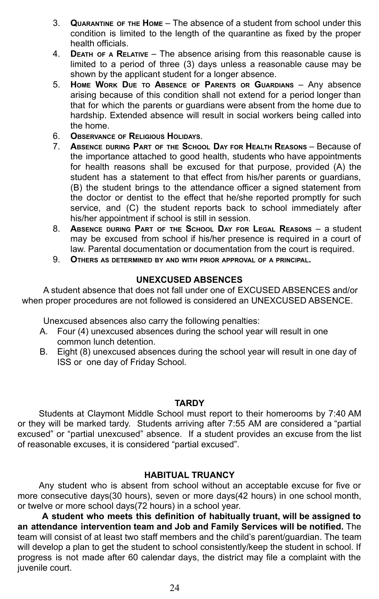- 3. **QUARANTINE OF THE HOME** The absence of a student from school under this condition is limited to the length of the quarantine as fixed by the proper health officials.
- 4. **DEATH OF <sup>A</sup> RELATIVE** The absence arising from this reasonable cause is limited to a period of three (3) days unless a reasonable cause may be shown by the applicant student for a longer absence.
- 5. **HOME WORK DUE TO ABSENCE OF PARENTS OR GUARDIANS** Any absence arising because of this condition shall not extend for a period longer than that for which the parents or guardians were absent from the home due to hardship. Extended absence will result in social workers being called into the home.
- 6. **OBSERVANCE OF RELIGIOUS HOLIDAYS**.
- 7. **ABSENCE DURING PART OF THE SCHOOL DAY FOR HEALTH REASONS** Because of the importance attached to good health, students who have appointments for health reasons shall be excused for that purpose, provided (A) the student has a statement to that effect from his/her parents or guardians, (B) the student brings to the attendance officer a signed statement from the doctor or dentist to the effect that he/she reported promptly for such service, and (C) the student reports back to school immediately after his/her appointment if school is still in session.
- 8. **ABSENCE DURING PART OF THE SCHOOL DAY FOR LEGAL REASONS** a student may be excused from school if his/her presence is required in a court of law. Parental documentation or documentation from the court is required.
- 9. **OTHERS AS DETERMINED BY AND WITH PRIOR APPROVAL OF <sup>A</sup> PRINCIPAL.**

#### **UNEXCUSED ABSENCES**

A student absence that does not fall under one of EXCUSED ABSENCES and/or when proper procedures are not followed is considered an UNEXCUSED ABSENCE.

Unexcused absences also carry the following penalties:

- A. Four (4) unexcused absences during the school year will result in one common lunch detention.
- B. Eight (8) unexcused absences during the school year will result in one day of ISS or one day of Friday School.

#### **TARDY**

Students at Claymont Middle School must report to their homerooms by 7:40 AM or they will be marked tardy. Students arriving after 7:55 AM are considered a "partial excused" or "partial unexcused" absence. If a student provides an excuse from the list of reasonable excuses, it is considered "partial excused".

#### **HABITUAL TRUANCY**

Any student who is absent from school without an acceptable excuse for five or more consecutive days(30 hours), seven or more days(42 hours) in one school month, or twelve or more school days(72 hours) in a school year.

**A student who meets this definition of habitually truant, will be assigned to an attendance intervention team and Job and Family Services will be notified.** The team will consist of at least two staff members and the child's parent/guardian. The team will develop a plan to get the student to school consistently/keep the student in school. If progress is not made after 60 calendar days, the district may file a complaint with the juvenile court.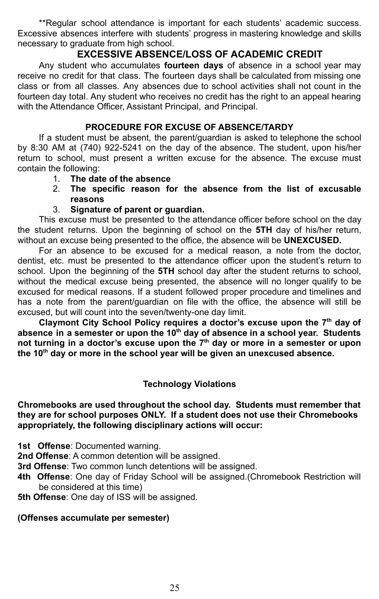\*\*Regular school attendance is important for each students' academic success. Excessive absences interfere with students' progress in mastering knowledge and skills necessary to graduate from high school.

### **EXCESSIVE ABSENCE/LOSS OF ACADEMIC CREDIT**

Any student who accumulates **fourteen days** of absence in a school year may receive no credit for that class. The fourteen days shall be calculated from missing one class or from all classes. Any absences due to school activities shall not count in the fourteen day total. Any student who receives no credit has the right to an appeal hearing with the Attendance Officer, Assistant Principal, and Principal.

### **PROCEDURE FOR EXCUSE OF ABSENCE/TARDY**

If a student must be absent, the parent/guardian is asked to telephone the school by 8:30 AM at (740) 922-5241 on the day of the absence. The student, upon his/her return to school, must present a written excuse for the absence. The excuse must contain the following:

- 1. **The date of the absence**
- 2. **The specific reason for the absence from the list of excusable reasons**
- 3. **Signature of parent or guardian.**

This excuse must be presented to the attendance officer before school on the day the student returns. Upon the beginning of school on the **5TH** day of his/her return, without an excuse being presented to the office, the absence will be **UNEXCUSED.**

For an absence to be excused for a medical reason, a note from the doctor, dentist, etc. must be presented to the attendance officer upon the student's return to school. Upon the beginning of the **5TH** school day after the student returns to school, without the medical excuse being presented, the absence will no longer qualify to be excused for medical reasons. If a student followed proper procedure and timelines and has a note from the parent/guardian on file with the office, the absence will still be excused, but will count into the seven/twenty-one day limit.

**Claymont City School Policy requires a doctor's excuse upon the 7 th day of absence in a semester or upon the 10th day of absence in a school year. Students not turning in a doctor's excuse upon the 7 th day or more in a semester or upon the 10th day or more in the school year will be given an unexcused absence.**

### **Technology Violations**

#### **Chromebooks are used throughout the school day. Students must remember that they are for school purposes ONLY. If a student does not use their Chromebooks appropriately, the following disciplinary actions will occur:**

**1st Offense**: Documented warning.

**2nd Offense**: A common detention will be assigned.

**3rd Offense**: Two common lunch detentions will be assigned.

**4th Offense**: One day of Friday School will be assigned.(Chromebook Restriction will be considered at this time)

**5th Offense**: One day of ISS will be assigned.

### **(Offenses accumulate per semester)**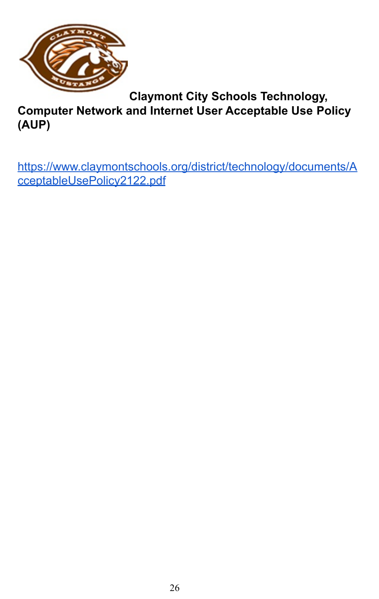

**Claymont City Schools Technology,**

**Computer Network and Internet User Acceptable Use Policy (AUP)**

[https://www.claymontschools.org/district/technology/documents/A](https://www.claymontschools.org/district/technology/documents/AcceptableUsePolicy2122.pdf) [cceptableUsePolicy2122.pdf](https://www.claymontschools.org/district/technology/documents/AcceptableUsePolicy2122.pdf)